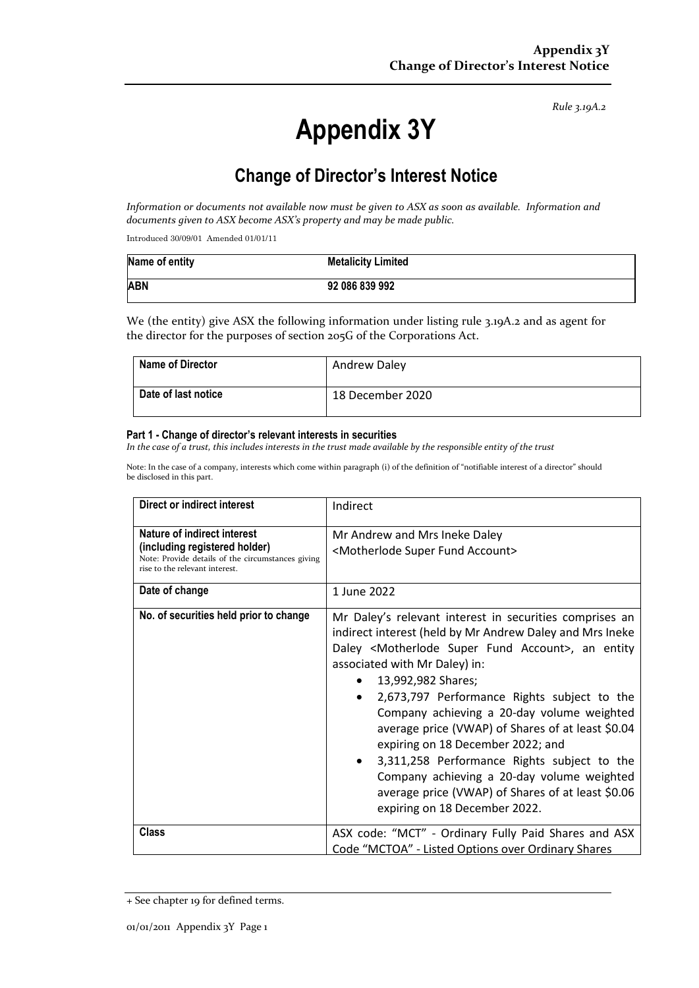*Rule 3.19A.2*

# **Appendix 3Y**

# **Change of Director's Interest Notice**

*Information or documents not available now must be given to ASX as soon as available. Information and documents given to ASX become ASX's property and may be made public.*

Introduced 30/09/01 Amended 01/01/11

| Name of entity | <b>Metalicity Limited</b> |
|----------------|---------------------------|
| <b>ABN</b>     | 92 086 839 992            |

We (the entity) give ASX the following information under listing rule 3.19A.2 and as agent for the director for the purposes of section 205G of the Corporations Act.

| <b>Name of Director</b> | <b>Andrew Daley</b> |
|-------------------------|---------------------|
| Date of last notice     | 18 December 2020    |

#### **Part 1 - Change of director's relevant interests in securities**

*In the case of a trust, this includes interests in the trust made available by the responsible entity of the trust*

Note: In the case of a company, interests which come within paragraph (i) of the definition of "notifiable interest of a director" should be disclosed in this part.

| Direct or indirect interest                                                                                                                         | Indirect                                                                                                                                                                                                                                                                                                                                                                                                                                                                                                                                                                                                                                                          |  |
|-----------------------------------------------------------------------------------------------------------------------------------------------------|-------------------------------------------------------------------------------------------------------------------------------------------------------------------------------------------------------------------------------------------------------------------------------------------------------------------------------------------------------------------------------------------------------------------------------------------------------------------------------------------------------------------------------------------------------------------------------------------------------------------------------------------------------------------|--|
| Nature of indirect interest<br>(including registered holder)<br>Note: Provide details of the circumstances giving<br>rise to the relevant interest. | Mr Andrew and Mrs Ineke Daley<br><motherlode account="" fund="" super=""></motherlode>                                                                                                                                                                                                                                                                                                                                                                                                                                                                                                                                                                            |  |
| Date of change                                                                                                                                      | 1 June 2022                                                                                                                                                                                                                                                                                                                                                                                                                                                                                                                                                                                                                                                       |  |
| No. of securities held prior to change                                                                                                              | Mr Daley's relevant interest in securities comprises an<br>indirect interest (held by Mr Andrew Daley and Mrs Ineke<br>Daley <motherlode account="" fund="" super="">, an entity<br/>associated with Mr Daley) in:<br/>13,992,982 Shares;<br/>2,673,797 Performance Rights subject to the<br/>Company achieving a 20-day volume weighted<br/>average price (VWAP) of Shares of at least \$0.04<br/>expiring on 18 December 2022; and<br/>3,311,258 Performance Rights subject to the<br/><math>\bullet</math><br/>Company achieving a 20-day volume weighted<br/>average price (VWAP) of Shares of at least \$0.06<br/>expiring on 18 December 2022.</motherlode> |  |
| <b>Class</b>                                                                                                                                        | ASX code: "MCT" - Ordinary Fully Paid Shares and ASX<br>Code "MCTOA" - Listed Options over Ordinary Shares                                                                                                                                                                                                                                                                                                                                                                                                                                                                                                                                                        |  |

<sup>+</sup> See chapter 19 for defined terms.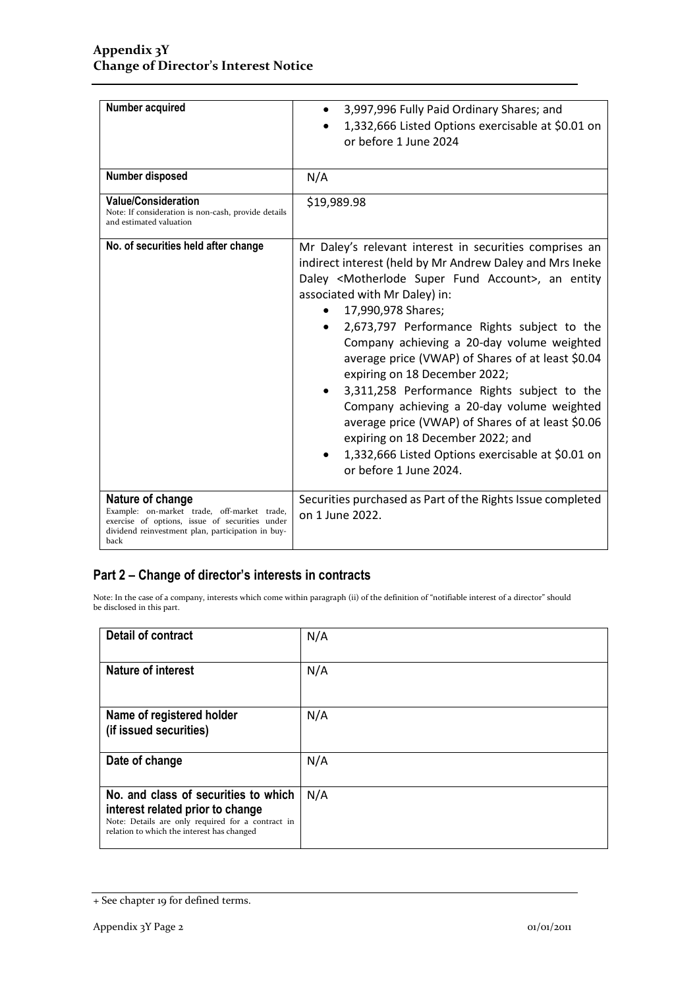| Number acquired                                                                                                                                                                | 3,997,996 Fully Paid Ordinary Shares; and<br>1,332,666 Listed Options exercisable at \$0.01 on<br>or before 1 June 2024                                                                                                                                                                                                                                                                                                                                                                                                                                                                                                                                                                                                   |
|--------------------------------------------------------------------------------------------------------------------------------------------------------------------------------|---------------------------------------------------------------------------------------------------------------------------------------------------------------------------------------------------------------------------------------------------------------------------------------------------------------------------------------------------------------------------------------------------------------------------------------------------------------------------------------------------------------------------------------------------------------------------------------------------------------------------------------------------------------------------------------------------------------------------|
| Number disposed                                                                                                                                                                | N/A                                                                                                                                                                                                                                                                                                                                                                                                                                                                                                                                                                                                                                                                                                                       |
| <b>Value/Consideration</b><br>Note: If consideration is non-cash, provide details<br>and estimated valuation                                                                   | \$19,989.98                                                                                                                                                                                                                                                                                                                                                                                                                                                                                                                                                                                                                                                                                                               |
| No. of securities held after change                                                                                                                                            | Mr Daley's relevant interest in securities comprises an<br>indirect interest (held by Mr Andrew Daley and Mrs Ineke<br>Daley <motherlode account="" fund="" super="">, an entity<br/>associated with Mr Daley) in:<br/>17,990,978 Shares;<br/>2,673,797 Performance Rights subject to the<br/>Company achieving a 20-day volume weighted<br/>average price (VWAP) of Shares of at least \$0.04<br/>expiring on 18 December 2022;<br/>3,311,258 Performance Rights subject to the<br/>Company achieving a 20-day volume weighted<br/>average price (VWAP) of Shares of at least \$0.06<br/>expiring on 18 December 2022; and<br/>1,332,666 Listed Options exercisable at \$0.01 on<br/>or before 1 June 2024.</motherlode> |
| Nature of change<br>Example: on-market trade, off-market trade,<br>exercise of options, issue of securities under<br>dividend reinvestment plan, participation in buy-<br>back | Securities purchased as Part of the Rights Issue completed<br>on 1 June 2022.                                                                                                                                                                                                                                                                                                                                                                                                                                                                                                                                                                                                                                             |

### **Part 2 – Change of director's interests in contracts**

Note: In the case of a company, interests which come within paragraph (ii) of the definition of "notifiable interest of a director" should be disclosed in this part.

| <b>Detail of contract</b>                                                                                                                                                   | N/A |
|-----------------------------------------------------------------------------------------------------------------------------------------------------------------------------|-----|
| <b>Nature of interest</b>                                                                                                                                                   | N/A |
| Name of registered holder<br>(if issued securities)                                                                                                                         | N/A |
| Date of change                                                                                                                                                              | N/A |
| No. and class of securities to which<br>interest related prior to change<br>Note: Details are only required for a contract in<br>relation to which the interest has changed | N/A |

<sup>+</sup> See chapter 19 for defined terms.